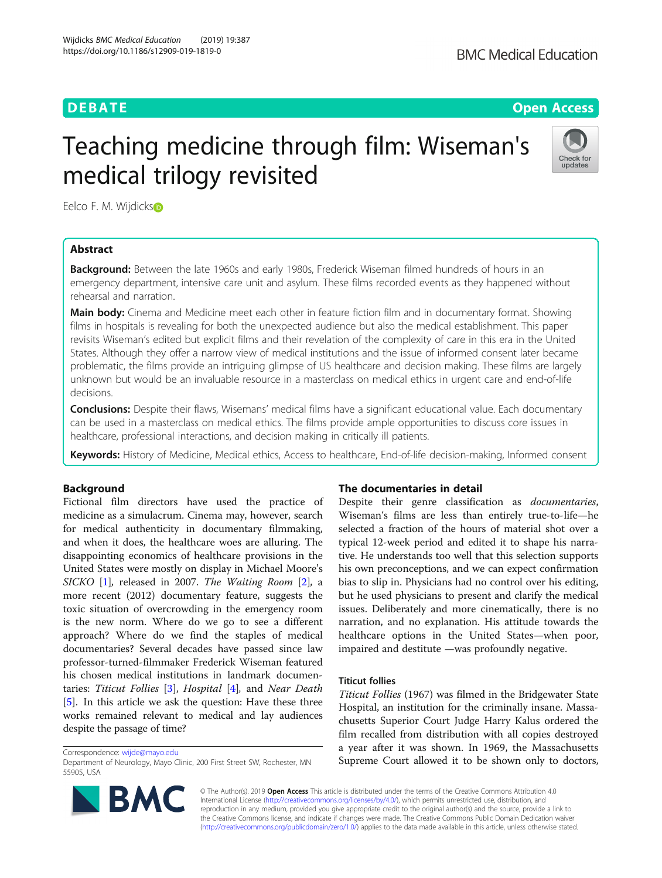**DEBATE CONSERVATION DEBATE CONSERVATION** 

# Teaching medicine through film: Wiseman's medical trilogy revisited



Eelco F. M. Wijdicks®

# Abstract

Background: Between the late 1960s and early 1980s, Frederick Wiseman filmed hundreds of hours in an emergency department, intensive care unit and asylum. These films recorded events as they happened without rehearsal and narration.

**Main body:** Cinema and Medicine meet each other in feature fiction film and in documentary format. Showing films in hospitals is revealing for both the unexpected audience but also the medical establishment. This paper revisits Wiseman's edited but explicit films and their revelation of the complexity of care in this era in the United States. Although they offer a narrow view of medical institutions and the issue of informed consent later became problematic, the films provide an intriguing glimpse of US healthcare and decision making. These films are largely unknown but would be an invaluable resource in a masterclass on medical ethics in urgent care and end-of-life decisions.

**Conclusions:** Despite their flaws, Wisemans' medical films have a significant educational value. Each documentary can be used in a masterclass on medical ethics. The films provide ample opportunities to discuss core issues in healthcare, professional interactions, and decision making in critically ill patients.

Keywords: History of Medicine, Medical ethics, Access to healthcare, End-of-life decision-making, Informed consent

# Background

Fictional film directors have used the practice of medicine as a simulacrum. Cinema may, however, search for medical authenticity in documentary filmmaking, and when it does, the healthcare woes are alluring. The disappointing economics of healthcare provisions in the United States were mostly on display in Michael Moore's SICKO [[1](#page-3-0)], released in 2007. The Waiting Room [\[2](#page-3-0)], a more recent (2012) documentary feature, suggests the toxic situation of overcrowding in the emergency room is the new norm. Where do we go to see a different approach? Where do we find the staples of medical documentaries? Several decades have passed since law professor-turned-filmmaker Frederick Wiseman featured his chosen medical institutions in landmark documentaries: Titicut Follies [[3](#page-3-0)], Hospital [\[4](#page-3-0)], and Near Death [[5\]](#page-3-0). In this article we ask the question: Have these three works remained relevant to medical and lay audiences despite the passage of time?

Correspondence: [wijde@mayo.edu](mailto:wijde@mayo.edu)

Department of Neurology, Mayo Clinic, 200 First Street SW, Rochester, MN 55905, USA



# The documentaries in detail

Despite their genre classification as documentaries, Wiseman's films are less than entirely true-to-life—he selected a fraction of the hours of material shot over a typical 12-week period and edited it to shape his narrative. He understands too well that this selection supports his own preconceptions, and we can expect confirmation bias to slip in. Physicians had no control over his editing, but he used physicians to present and clarify the medical issues. Deliberately and more cinematically, there is no narration, and no explanation. His attitude towards the healthcare options in the United States—when poor, impaired and destitute —was profoundly negative.

# Titicut follies

Titicut Follies (1967) was filmed in the Bridgewater State Hospital, an institution for the criminally insane. Massachusetts Superior Court Judge Harry Kalus ordered the film recalled from distribution with all copies destroyed a year after it was shown. In 1969, the Massachusetts Supreme Court allowed it to be shown only to doctors,

© The Author(s). 2019 Open Access This article is distributed under the terms of the Creative Commons Attribution 4.0 International License [\(http://creativecommons.org/licenses/by/4.0/](http://creativecommons.org/licenses/by/4.0/)), which permits unrestricted use, distribution, and reproduction in any medium, provided you give appropriate credit to the original author(s) and the source, provide a link to the Creative Commons license, and indicate if changes were made. The Creative Commons Public Domain Dedication waiver [\(http://creativecommons.org/publicdomain/zero/1.0/](http://creativecommons.org/publicdomain/zero/1.0/)) applies to the data made available in this article, unless otherwise stated.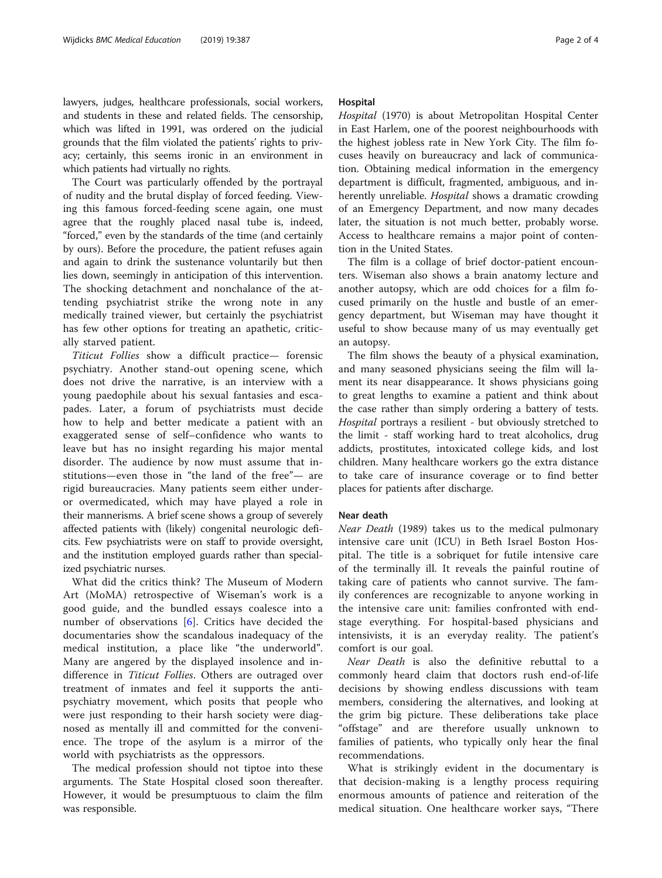lawyers, judges, healthcare professionals, social workers, and students in these and related fields. The censorship, which was lifted in 1991, was ordered on the judicial grounds that the film violated the patients' rights to privacy; certainly, this seems ironic in an environment in which patients had virtually no rights.

The Court was particularly offended by the portrayal of nudity and the brutal display of forced feeding. Viewing this famous forced-feeding scene again, one must agree that the roughly placed nasal tube is, indeed, "forced," even by the standards of the time (and certainly by ours). Before the procedure, the patient refuses again and again to drink the sustenance voluntarily but then lies down, seemingly in anticipation of this intervention. The shocking detachment and nonchalance of the attending psychiatrist strike the wrong note in any medically trained viewer, but certainly the psychiatrist has few other options for treating an apathetic, critically starved patient.

Titicut Follies show a difficult practice— forensic psychiatry. Another stand-out opening scene, which does not drive the narrative, is an interview with a young paedophile about his sexual fantasies and escapades. Later, a forum of psychiatrists must decide how to help and better medicate a patient with an exaggerated sense of self–confidence who wants to leave but has no insight regarding his major mental disorder. The audience by now must assume that institutions—even those in "the land of the free"— are rigid bureaucracies. Many patients seem either underor overmedicated, which may have played a role in their mannerisms. A brief scene shows a group of severely affected patients with (likely) congenital neurologic deficits. Few psychiatrists were on staff to provide oversight, and the institution employed guards rather than specialized psychiatric nurses.

What did the critics think? The Museum of Modern Art (MoMA) retrospective of Wiseman's work is a good guide, and the bundled essays coalesce into a number of observations [\[6](#page-3-0)]. Critics have decided the documentaries show the scandalous inadequacy of the medical institution, a place like "the underworld". Many are angered by the displayed insolence and indifference in *Titicut Follies*. Others are outraged over treatment of inmates and feel it supports the antipsychiatry movement, which posits that people who were just responding to their harsh society were diagnosed as mentally ill and committed for the convenience. The trope of the asylum is a mirror of the world with psychiatrists as the oppressors.

The medical profession should not tiptoe into these arguments. The State Hospital closed soon thereafter. However, it would be presumptuous to claim the film was responsible.

# Hospital

Hospital (1970) is about Metropolitan Hospital Center in East Harlem, one of the poorest neighbourhoods with the highest jobless rate in New York City. The film focuses heavily on bureaucracy and lack of communication. Obtaining medical information in the emergency department is difficult, fragmented, ambiguous, and inherently unreliable. *Hospital* shows a dramatic crowding of an Emergency Department, and now many decades later, the situation is not much better, probably worse. Access to healthcare remains a major point of contention in the United States.

The film is a collage of brief doctor-patient encounters. Wiseman also shows a brain anatomy lecture and another autopsy, which are odd choices for a film focused primarily on the hustle and bustle of an emergency department, but Wiseman may have thought it useful to show because many of us may eventually get an autopsy.

The film shows the beauty of a physical examination, and many seasoned physicians seeing the film will lament its near disappearance. It shows physicians going to great lengths to examine a patient and think about the case rather than simply ordering a battery of tests. Hospital portrays a resilient - but obviously stretched to the limit - staff working hard to treat alcoholics, drug addicts, prostitutes, intoxicated college kids, and lost children. Many healthcare workers go the extra distance to take care of insurance coverage or to find better places for patients after discharge.

# Near death

Near Death (1989) takes us to the medical pulmonary intensive care unit (ICU) in Beth Israel Boston Hospital. The title is a sobriquet for futile intensive care of the terminally ill. It reveals the painful routine of taking care of patients who cannot survive. The family conferences are recognizable to anyone working in the intensive care unit: families confronted with endstage everything. For hospital-based physicians and intensivists, it is an everyday reality. The patient's comfort is our goal.

Near Death is also the definitive rebuttal to a commonly heard claim that doctors rush end-of-life decisions by showing endless discussions with team members, considering the alternatives, and looking at the grim big picture. These deliberations take place "offstage" and are therefore usually unknown to families of patients, who typically only hear the final recommendations.

What is strikingly evident in the documentary is that decision-making is a lengthy process requiring enormous amounts of patience and reiteration of the medical situation. One healthcare worker says, "There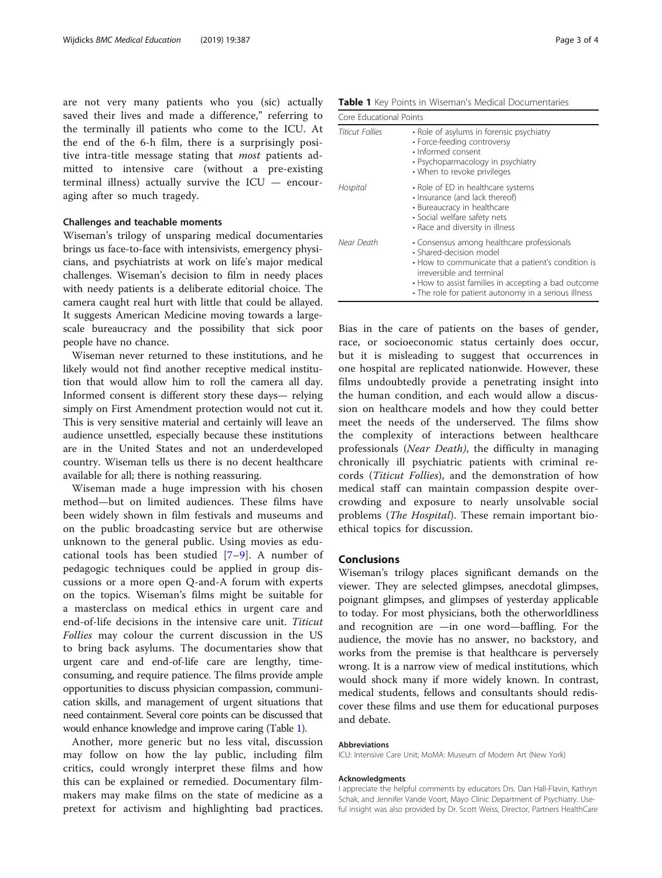are not very many patients who you (sic) actually saved their lives and made a difference," referring to the terminally ill patients who come to the ICU. At the end of the 6-h film, there is a surprisingly positive intra-title message stating that most patients admitted to intensive care (without a pre-existing terminal illness) actually survive the ICU — encouraging after so much tragedy.

# Challenges and teachable moments

Wiseman's trilogy of unsparing medical documentaries brings us face-to-face with intensivists, emergency physicians, and psychiatrists at work on life's major medical challenges. Wiseman's decision to film in needy places with needy patients is a deliberate editorial choice. The camera caught real hurt with little that could be allayed. It suggests American Medicine moving towards a largescale bureaucracy and the possibility that sick poor people have no chance.

Wiseman never returned to these institutions, and he likely would not find another receptive medical institution that would allow him to roll the camera all day. Informed consent is different story these days— relying simply on First Amendment protection would not cut it. This is very sensitive material and certainly will leave an audience unsettled, especially because these institutions are in the United States and not an underdeveloped country. Wiseman tells us there is no decent healthcare available for all; there is nothing reassuring.

Wiseman made a huge impression with his chosen method—but on limited audiences. These films have been widely shown in film festivals and museums and on the public broadcasting service but are otherwise unknown to the general public. Using movies as educational tools has been studied  $[7-9]$  $[7-9]$  $[7-9]$ . A number of pedagogic techniques could be applied in group discussions or a more open Q-and-A forum with experts on the topics. Wiseman's films might be suitable for a masterclass on medical ethics in urgent care and end-of-life decisions in the intensive care unit. Titicut Follies may colour the current discussion in the US to bring back asylums. The documentaries show that urgent care and end-of-life care are lengthy, timeconsuming, and require patience. The films provide ample opportunities to discuss physician compassion, communication skills, and management of urgent situations that need containment. Several core points can be discussed that would enhance knowledge and improve caring (Table 1).

Another, more generic but no less vital, discussion may follow on how the lay public, including film critics, could wrongly interpret these films and how this can be explained or remedied. Documentary filmmakers may make films on the state of medicine as a pretext for activism and highlighting bad practices.

Table 1 Key Points in Wiseman's Medical Documentaries

| Core Educational Points |                                                                                                                                                                                                                                                                         |
|-------------------------|-------------------------------------------------------------------------------------------------------------------------------------------------------------------------------------------------------------------------------------------------------------------------|
| Titicut Follies         | • Role of asylums in forensic psychiatry<br>• Force-feeding controversy<br>• Informed consent<br>• Psychoparmacology in psychiatry<br>• When to revoke privileges                                                                                                       |
| Hospital                | • Role of ED in healthcare systems<br>• Insurance (and lack thereof)<br>• Bureaucracy in healthcare<br>· Social welfare safety nets<br>• Race and diversity in illness                                                                                                  |
| Near Death              | • Consensus among healthcare professionals<br>• Shared-decision model<br>• How to communicate that a patient's condition is<br>irreversible and terminal<br>• How to assist families in accepting a bad outcome<br>• The role for patient autonomy in a serious illness |

Bias in the care of patients on the bases of gender, race, or socioeconomic status certainly does occur, but it is misleading to suggest that occurrences in one hospital are replicated nationwide. However, these films undoubtedly provide a penetrating insight into the human condition, and each would allow a discussion on healthcare models and how they could better meet the needs of the underserved. The films show the complexity of interactions between healthcare professionals (Near Death), the difficulty in managing chronically ill psychiatric patients with criminal records (Titicut Follies), and the demonstration of how medical staff can maintain compassion despite overcrowding and exposure to nearly unsolvable social problems (The Hospital). These remain important bioethical topics for discussion.

# Conclusions

Wiseman's trilogy places significant demands on the viewer. They are selected glimpses, anecdotal glimpses, poignant glimpses, and glimpses of yesterday applicable to today. For most physicians, both the otherworldliness and recognition are —in one word—baffling. For the audience, the movie has no answer, no backstory, and works from the premise is that healthcare is perversely wrong. It is a narrow view of medical institutions, which would shock many if more widely known. In contrast, medical students, fellows and consultants should rediscover these films and use them for educational purposes and debate.

#### Abbreviations

ICU: Intensive Care Unit; MoMA: Museum of Modern Art (New York)

#### Acknowledgments

I appreciate the helpful comments by educators Drs. Dan Hall-Flavin, Kathryn Schak, and Jennifer Vande Voort, Mayo Clinic Department of Psychiatry. Useful insight was also provided by Dr. Scott Weiss, Director, Partners HealthCare